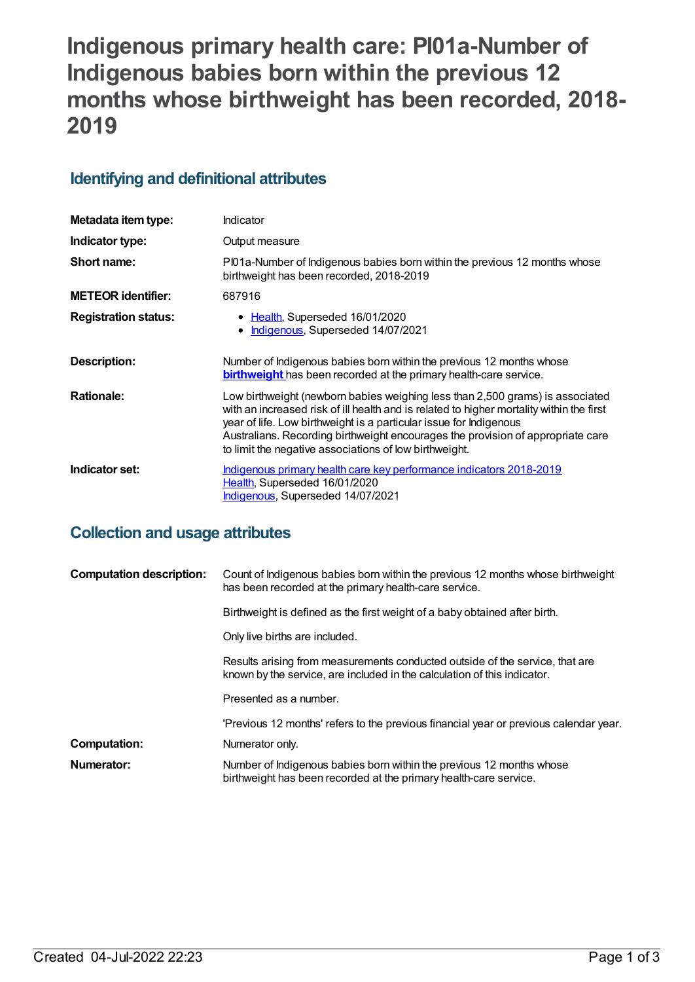# **Indigenous primary health care: PI01a-Number of Indigenous babies born within the previous 12 months whose birthweight has been recorded, 2018- 2019**

# **Identifying and definitional attributes**

| Metadata item type:         | Indicator                                                                                                                                                                                                                                                                                                                                                                                    |  |
|-----------------------------|----------------------------------------------------------------------------------------------------------------------------------------------------------------------------------------------------------------------------------------------------------------------------------------------------------------------------------------------------------------------------------------------|--|
| Indicator type:             | Output measure                                                                                                                                                                                                                                                                                                                                                                               |  |
| Short name:                 | PI01a-Number of Indigenous babies born within the previous 12 months whose<br>birthweight has been recorded, 2018-2019                                                                                                                                                                                                                                                                       |  |
| <b>METEOR identifier:</b>   | 687916                                                                                                                                                                                                                                                                                                                                                                                       |  |
| <b>Registration status:</b> | • Health, Superseded 16/01/2020<br>Indigenous, Superseded 14/07/2021<br>$\bullet$                                                                                                                                                                                                                                                                                                            |  |
| Description:                | Number of Indigenous babies born within the previous 12 months whose<br><b>birthweight</b> has been recorded at the primary health-care service.                                                                                                                                                                                                                                             |  |
| <b>Rationale:</b>           | Low birthweight (newborn babies weighing less than 2,500 grams) is associated<br>with an increased risk of ill health and is related to higher mortality within the first<br>year of life. Low birthweight is a particular issue for Indigenous<br>Australians. Recording birthweight encourages the provision of appropriate care<br>to limit the negative associations of low birthweight. |  |
| Indicator set:              | Indigenous primary health care key performance indicators 2018-2019<br>Health, Superseded 16/01/2020<br><b>Indigenous, Superseded 14/07/2021</b>                                                                                                                                                                                                                                             |  |

# **Collection and usage attributes**

| <b>Computation description:</b> | Count of Indigenous babies born within the previous 12 months whose birthweight<br>has been recorded at the primary health-care service.                 |
|---------------------------------|----------------------------------------------------------------------------------------------------------------------------------------------------------|
|                                 | Birthweight is defined as the first weight of a baby obtained after birth.                                                                               |
|                                 | Only live births are included.                                                                                                                           |
|                                 | Results arising from measurements conducted outside of the service, that are<br>known by the service, are included in the calculation of this indicator. |
|                                 | Presented as a number.                                                                                                                                   |
|                                 | 'Previous 12 months' refers to the previous financial year or previous calendar year.                                                                    |
| Computation:                    | Numerator only.                                                                                                                                          |
| Numerator:                      | Number of Indigenous babies born within the previous 12 months whose<br>birthweight has been recorded at the primary health-care service.                |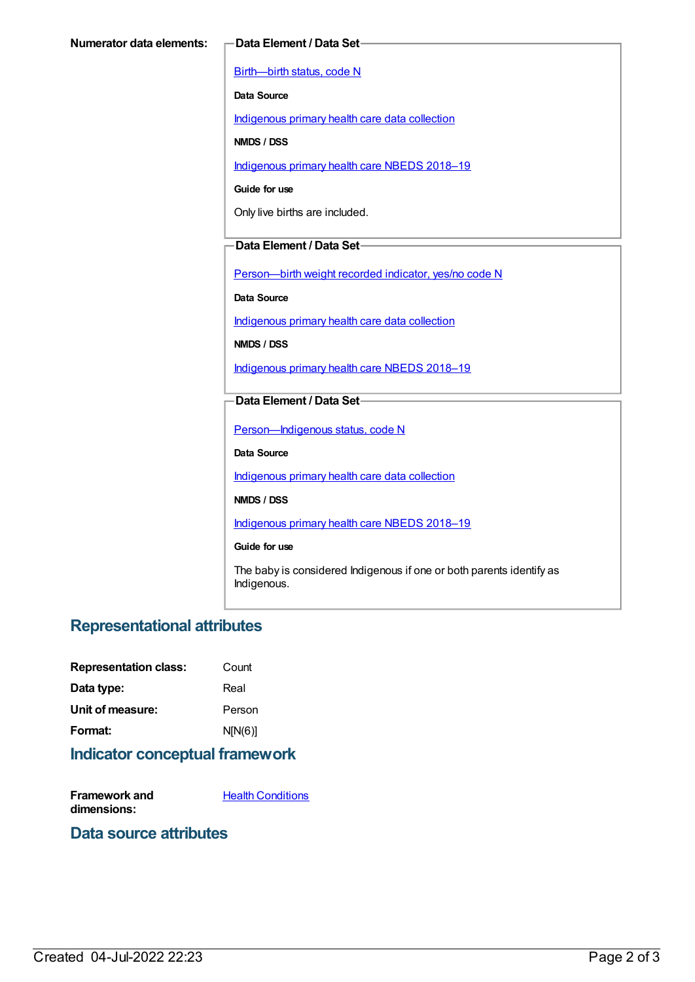[Birth—birth](https://meteor.aihw.gov.au/content/269949) status, code N

**Data Source**

[Indigenous](https://meteor.aihw.gov.au/content/430643) primary health care data collection

**NMDS / DSS**

[Indigenous](https://meteor.aihw.gov.au/content/694101) primary health care NBEDS 2018-19

**Guide for use**

Only live births are included.

#### **Data Element / Data Set**

[Person—birth](https://meteor.aihw.gov.au/content/441701) weight recorded indicator, yes/no code N

**Data Source**

[Indigenous](https://meteor.aihw.gov.au/content/430643) primary health care data collection

**NMDS / DSS**

[Indigenous](https://meteor.aihw.gov.au/content/694101) primary health care NBEDS 2018–19

#### **Data Element / Data Set**

Person-Indigenous status, code N

**Data Source**

[Indigenous](https://meteor.aihw.gov.au/content/430643) primary health care data collection

**NMDS / DSS**

[Indigenous](https://meteor.aihw.gov.au/content/694101) primary health care NBEDS 2018-19

**Guide for use**

The baby is considered Indigenous if one or both parents identify as Indigenous.

### **Representational attributes**

| <b>Representation class:</b> | Count   |
|------------------------------|---------|
| Data type:                   | Real    |
| Unit of measure:             | Person  |
| Format:                      | N[N(6)] |

#### **Indicator conceptual framework**

**Framework and dimensions: Health [Conditions](https://meteor.aihw.gov.au/content/410650)** 

#### **Data source attributes**